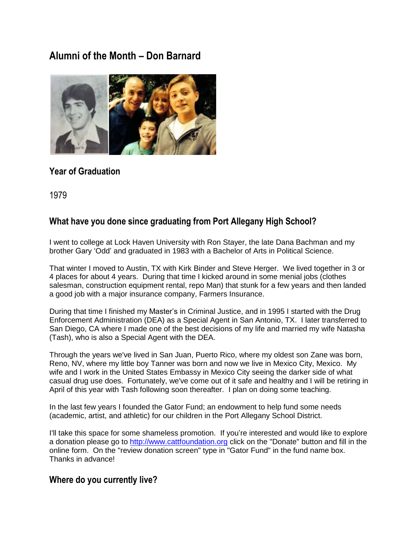# **Alumni of the Month – Don Barnard**



## **Year of Graduation**

1979

## **What have you done since graduating from Port Allegany High School?**

I went to college at Lock Haven University with Ron Stayer, the late Dana Bachman and my brother Gary 'Odd' and graduated in 1983 with a Bachelor of Arts in Political Science.

That winter I moved to Austin, TX with Kirk Binder and Steve Herger. We lived together in 3 or 4 places for about 4 years. During that time I kicked around in some menial jobs (clothes salesman, construction equipment rental, repo Man) that stunk for a few years and then landed a good job with a major insurance company, Farmers Insurance.

During that time I finished my Master's in Criminal Justice, and in 1995 I started with the Drug Enforcement Administration (DEA) as a Special Agent in San Antonio, TX. I later transferred to San Diego, CA where I made one of the best decisions of my life and married my wife Natasha (Tash), who is also a Special Agent with the DEA.

Through the years we've lived in San Juan, Puerto Rico, where my oldest son Zane was born, Reno, NV, where my little boy Tanner was born and now we live in Mexico City, Mexico. My wife and I work in the United States Embassy in Mexico City seeing the darker side of what casual drug use does. Fortunately, we've come out of it safe and healthy and I will be retiring in April of this year with Tash following soon thereafter. I plan on doing some teaching.

In the last few years I founded the Gator Fund; an endowment to help fund some needs (academic, artist, and athletic) for our children in the Port Allegany School District.

I'll take this space for some shameless promotion. If you're interested and would like to explore a donation please go to [http://www.cattfoundation.org](http://www.cattfoundation.org/) click on the "Donate" button and fill in the online form. On the "review donation screen" type in "Gator Fund" in the fund name box. Thanks in advance!

#### **Where do you currently live?**